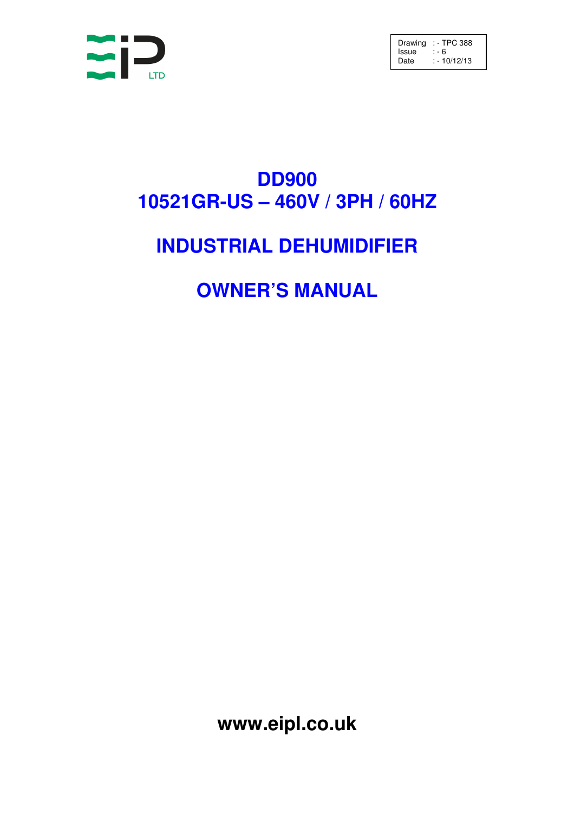

Drawing : - TPC 388<br>Issue : - 6 Issue<br>Date  $\frac{1}{2}$  - 10/12/13

## **DD900 10521GR-US – 460V / 3PH / 60HZ**

# **INDUSTRIAL DEHUMIDIFIER**

## **OWNER'S MANUAL**

**www.eipl.co.uk**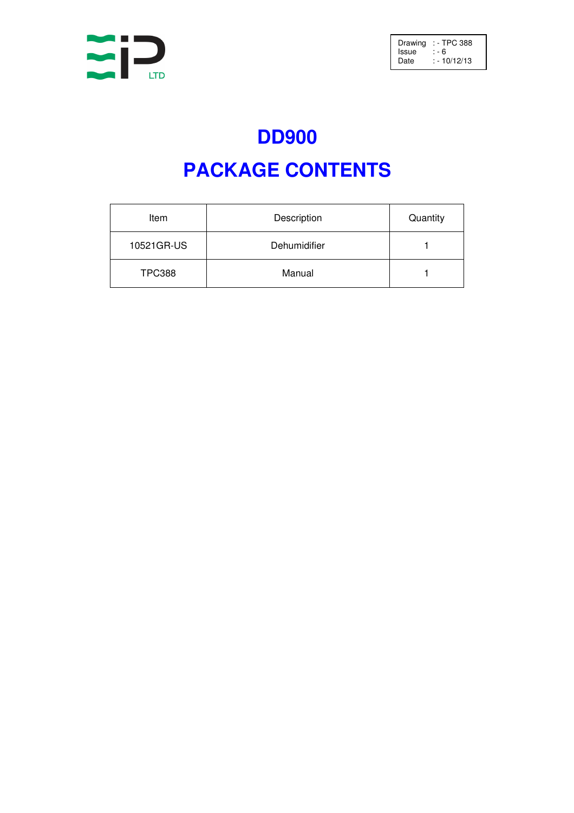

Drawing : - TPC 388 Issue : - 6 Date : - 10/12/13

# **DD900**

# **PACKAGE CONTENTS**

| ltem          | Description  | Quantity |
|---------------|--------------|----------|
| 10521GR-US    | Dehumidifier |          |
| <b>TPC388</b> | Manual       |          |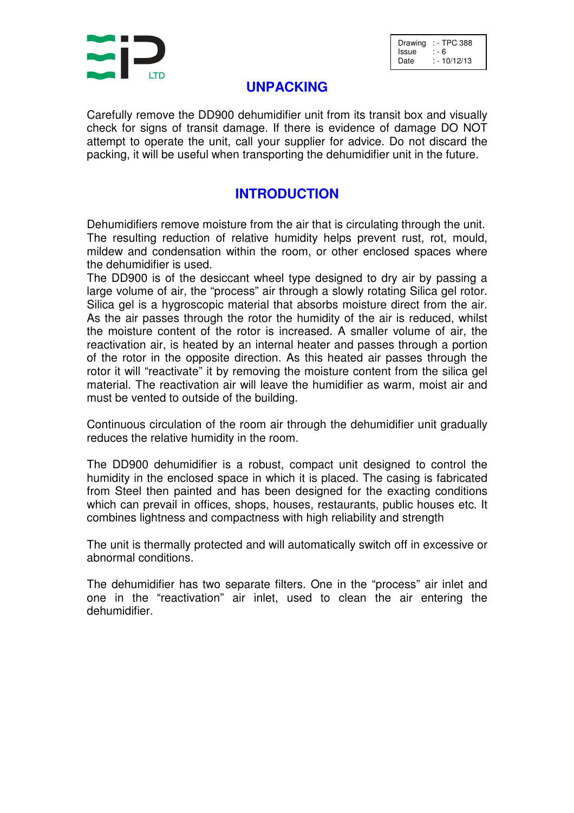

Drawing  $:$  TPC 388<br>Issue  $:$  6 Issue : - 6 Date : - 10/12/13

### **UNPACKING**

Carefully remove the DD900 dehumidifier unit from its transit box and visually check for signs of transit damage. If there is evidence of damage DO NOT attempt to operate the unit, call your supplier for advice. Do not discard the packing, it will be useful when transporting the dehumidifier unit in the future.

### **INTRODUCTION**

Dehumidifiers remove moisture from the air that is circulating through the unit. The resulting reduction of relative humidity helps prevent rust, rot, mould, mildew and condensation within the room, or other enclosed spaces where the dehumidifier is used.

The DD900 is of the desiccant wheel type designed to dry air by passing a large volume of air, the "process" air through a slowly rotating Silica gel rotor. Silica gel is a hygroscopic material that absorbs moisture direct from the air. As the air passes through the rotor the humidity of the air is reduced, whilst the moisture content of the rotor is increased. A smaller volume of air, the reactivation air, is heated by an internal heater and passes through a portion of the rotor in the opposite direction. As this heated air passes through the rotor it will "reactivate" it by removing the moisture content from the silica gel material. The reactivation air will leave the humidifier as warm, moist air and must be vented to outside of the building.

Continuous circulation of the room air through the dehumidifier unit gradually reduces the relative humidity in the room.

The DD900 dehumidifier is a robust, compact unit designed to control the humidity in the enclosed space in which it is placed. The casing is fabricated from Steel then painted and has been designed for the exacting conditions which can prevail in offices, shops, houses, restaurants, public houses etc. It combines lightness and compactness with high reliability and strength

The unit is thermally protected and will automatically switch off in excessive or abnormal conditions.

The dehumidifier has two separate filters. One in the "process" air inlet and one in the "reactivation" air inlet, used to clean the air entering the dehumidifier.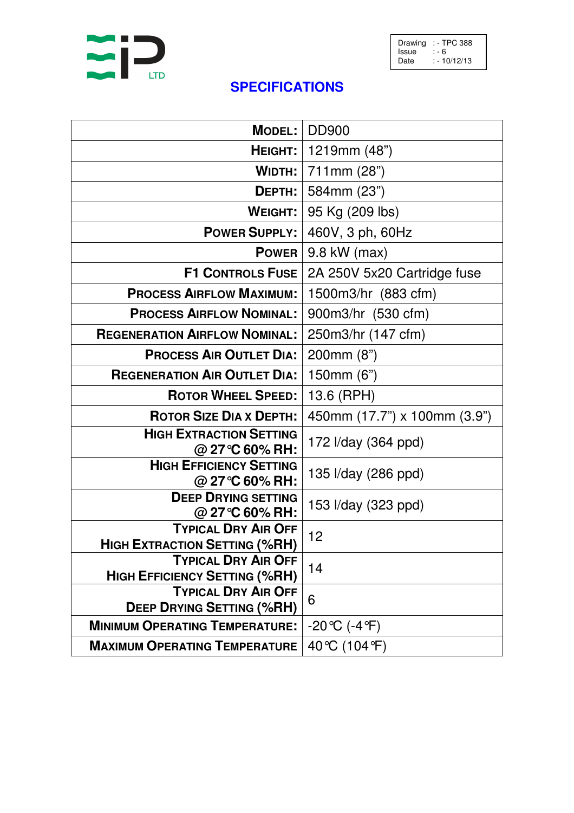

Drawing : - TPC 388 Issue : - 6 Date : - 10/12/13

### **SPECIFICATIONS**

| <b>MODEL:</b>                                               | <b>DD900</b>                     |  |
|-------------------------------------------------------------|----------------------------------|--|
| HEIGHT:                                                     | 1219mm (48")                     |  |
| <b>WIDTH:</b>                                               | 711mm (28")                      |  |
| DEPTH:                                                      | 584mm (23")                      |  |
| <b>WEIGHT:</b>                                              | 95 Kg (209 lbs)                  |  |
| <b>POWER SUPPLY:</b>                                        | 460V, 3 ph, 60Hz                 |  |
| <b>POWER</b>                                                | 9.8 kW (max)                     |  |
| <b>F1 CONTROLS FUSE</b>                                     | 2A 250V 5x20 Cartridge fuse      |  |
| <b>PROCESS AIRFLOW MAXIMUM:</b>                             | 1500m3/hr (883 cfm)              |  |
| <b>PROCESS AIRFLOW NOMINAL:</b>                             | 900m3/hr (530 cfm)               |  |
| <b>REGENERATION AIRFLOW NOMINAL:</b>                        | 250m3/hr (147 cfm)               |  |
| <b>PROCESS AIR OUTLET DIA:</b>                              | 200mm (8")                       |  |
| <b>REGENERATION AIR OUTLET DIA:</b>                         | 150mm (6")                       |  |
| <b>ROTOR WHEEL SPEED:</b>                                   | 13.6 (RPH)                       |  |
| <b>ROTOR SIZE DIA X DEPTH:</b>                              | 450mm (17.7") x 100mm (3.9")     |  |
| <b>HIGH EXTRACTION SETTING</b><br>@ 27℃ 60% RH:             | 172 I/day (364 ppd)              |  |
| <b>HIGH EFFICIENCY SETTING</b><br>@ 27℃ 60% RH:             | 135 I/day (286 ppd)              |  |
| <b>DEEP DRYING SETTING</b><br>@ 27 ℃ 60% RH:                | 153 I/day (323 ppd)              |  |
| <b>TYPICAL DRY AIR OFF</b><br>HIGH EXTRACTION SETTING (%RH) | 12                               |  |
| <b>TYPICAL DRY AIR OFF</b>                                  | 14                               |  |
| <b>HIGH EFFICIENCY SETTING (%RH)</b>                        |                                  |  |
| <b>TYPICAL DRY AIR OFF</b>                                  | 6                                |  |
| <b>DEEP DRYING SETTING (%RH)</b>                            |                                  |  |
| <b>MINIMUM OPERATING TEMPERATURE:</b>                       | $-20^{\circ}C$ (-4 $^{\circ}F$ ) |  |
| <b>MAXIMUM OPERATING TEMPERATURE</b>                        | 40°C (104°F)                     |  |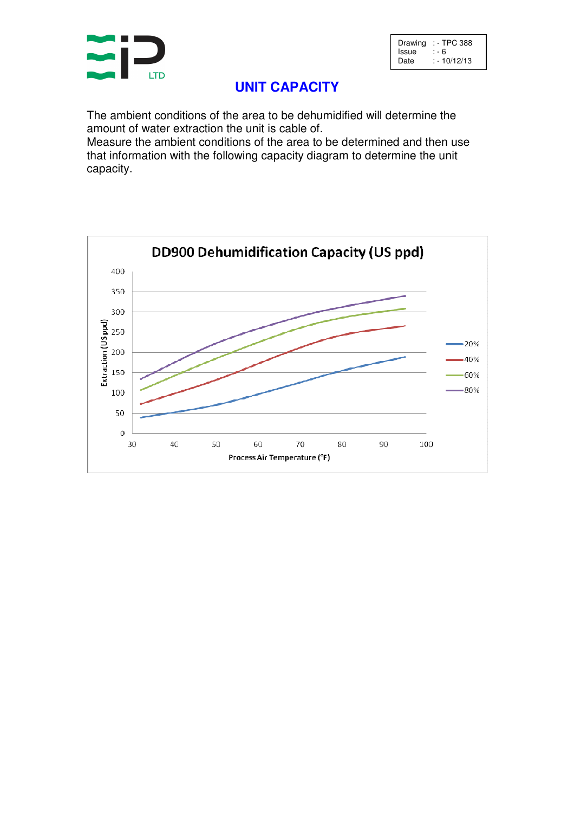

| Drawing | : - TPC 388   |
|---------|---------------|
| Issue   | : - 6         |
| Date    | $: -10/12/13$ |

### **UNIT CAPACITY**

The ambient conditions of the area to be dehumidified will determine the amount of water extraction the unit is cable of.

Measure the ambient conditions of the area to be determined and then use that information with the following capacity diagram to determine the unit capacity.

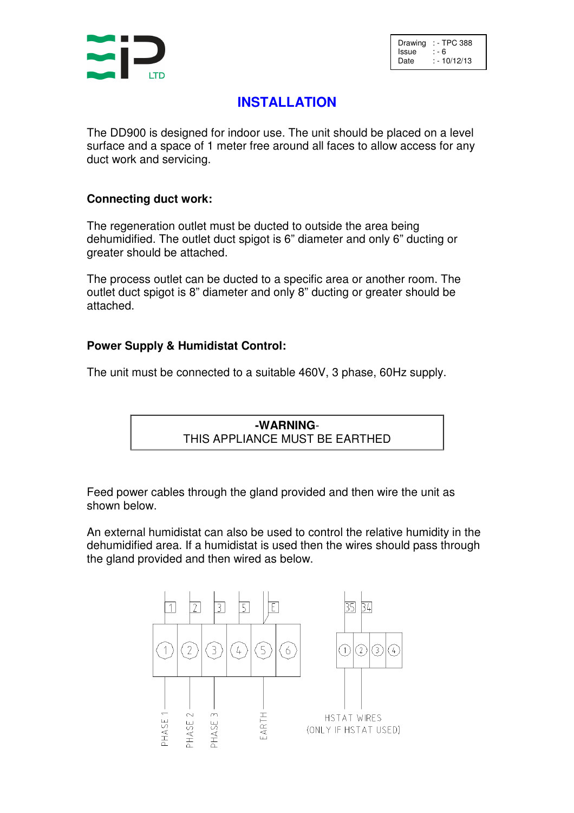

Drawing  $:$  TPC 388<br>Issue  $:$  6 **Issue** Date : - 10/12/13

### **INSTALLATION**

The DD900 is designed for indoor use. The unit should be placed on a level surface and a space of 1 meter free around all faces to allow access for any duct work and servicing.

### **Connecting duct work:**

The regeneration outlet must be ducted to outside the area being dehumidified. The outlet duct spigot is 6" diameter and only 6" ducting or greater should be attached.

The process outlet can be ducted to a specific area or another room. The outlet duct spigot is 8" diameter and only 8" ducting or greater should be attached.

### **Power Supply & Humidistat Control:**

The unit must be connected to a suitable 460V, 3 phase, 60Hz supply.

**-WARNING**-THIS APPLIANCE MUST BE EARTHED

Feed power cables through the gland provided and then wire the unit as shown below.

An external humidistat can also be used to control the relative humidity in the dehumidified area. If a humidistat is used then the wires should pass through the gland provided and then wired as below.

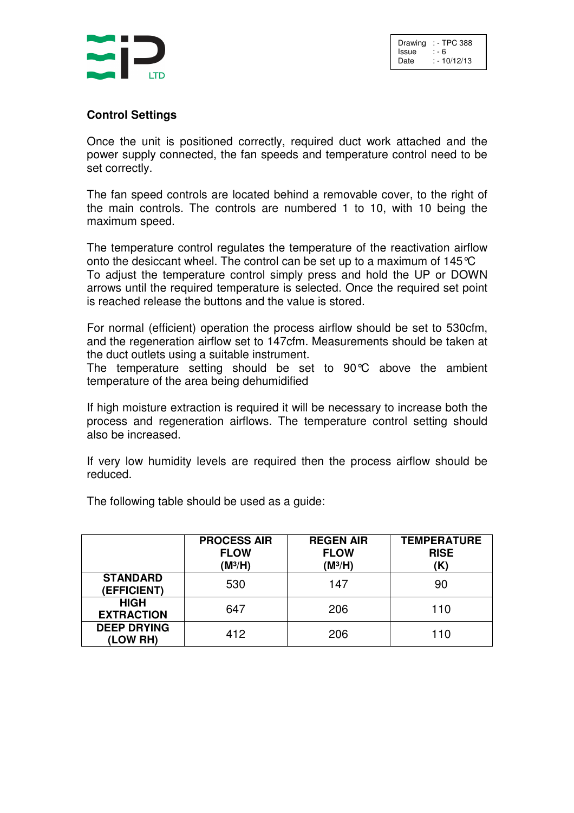# 

Drawing  $:$  TPC 388<br>Issue  $:$  6 **Issue** Date : - 10/12/13

### **Control Settings**

Once the unit is positioned correctly, required duct work attached and the power supply connected, the fan speeds and temperature control need to be set correctly.

The fan speed controls are located behind a removable cover, to the right of the main controls. The controls are numbered 1 to 10, with 10 being the maximum speed.

The temperature control regulates the temperature of the reactivation airflow onto the desiccant wheel. The control can be set up to a maximum of 145°C To adjust the temperature control simply press and hold the UP or DOWN arrows until the required temperature is selected. Once the required set point is reached release the buttons and the value is stored.

For normal (efficient) operation the process airflow should be set to 530cfm, and the regeneration airflow set to 147cfm. Measurements should be taken at the duct outlets using a suitable instrument.

The temperature setting should be set to 90°C above the ambient temperature of the area being dehumidified

If high moisture extraction is required it will be necessary to increase both the process and regeneration airflows. The temperature control setting should also be increased.

If very low humidity levels are required then the process airflow should be reduced.

The following table should be used as a guide:

|                                      | <b>PROCESS AIR</b><br><b>FLOW</b><br>$(M^3/H)$ | <b>REGEN AIR</b><br><b>FLOW</b><br>(M <sup>3</sup> /H) | <b>TEMPERATURE</b><br><b>RISE</b><br>(K) |
|--------------------------------------|------------------------------------------------|--------------------------------------------------------|------------------------------------------|
| <b>STANDARD</b><br><b>EFFICIENT)</b> | 530                                            | 147                                                    | 90                                       |
| <b>HIGH</b><br><b>EXTRACTION</b>     | 647                                            | 206                                                    | 110                                      |
| <b>DEEP DRYING</b><br>(LOW RH)       | 412                                            | 206                                                    | 110                                      |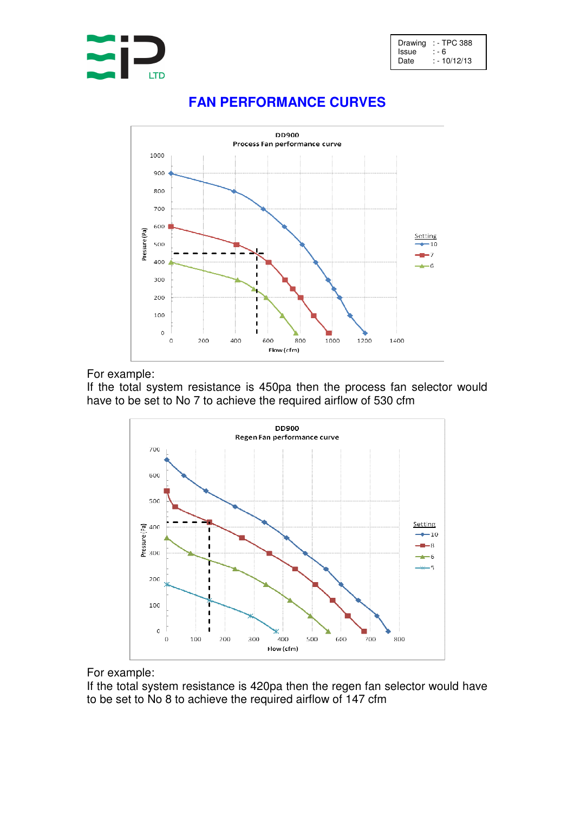# 





### For example:

If the total system resistance is 450pa then the process fan selector would have to be set to No 7 to achieve the required airflow of 530 cfm



### For example:

If the total system resistance is 420pa then the regen fan selector would have to be set to No 8 to achieve the required airflow of 147 cfm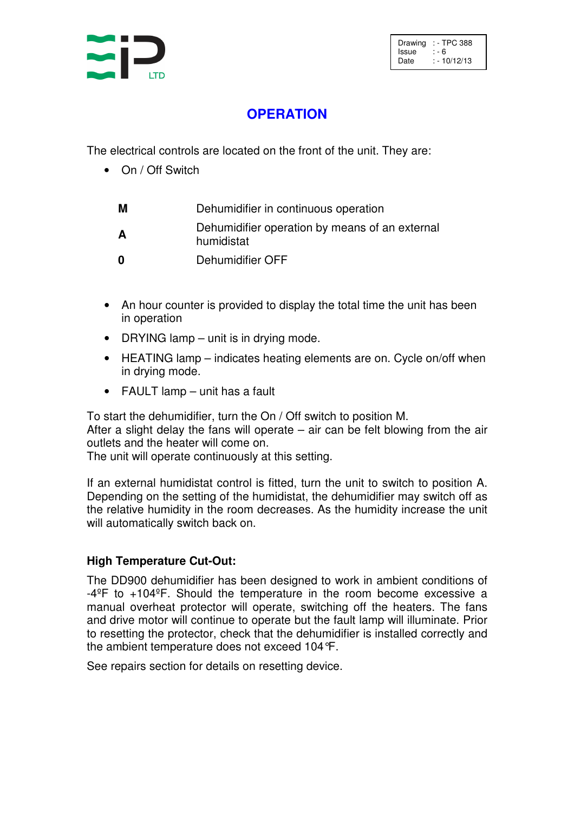# 

### **OPERATION**

The electrical controls are located on the front of the unit. They are:

• On / Off Switch

| M | Dehumidifier in continuous operation                         |
|---|--------------------------------------------------------------|
| A | Dehumidifier operation by means of an external<br>humidistat |
| 0 | Dehumidifier OFF                                             |

- An hour counter is provided to display the total time the unit has been in operation
- DRYING lamp unit is in drying mode.
- HEATING lamp indicates heating elements are on. Cycle on/off when in drying mode.
- FAULT lamp unit has a fault

To start the dehumidifier, turn the On / Off switch to position M.

After a slight delay the fans will operate – air can be felt blowing from the air outlets and the heater will come on.

The unit will operate continuously at this setting.

If an external humidistat control is fitted, turn the unit to switch to position A. Depending on the setting of the humidistat, the dehumidifier may switch off as the relative humidity in the room decreases. As the humidity increase the unit will automatically switch back on.

### **High Temperature Cut-Out:**

The DD900 dehumidifier has been designed to work in ambient conditions of  $-4^{\circ}F$  to  $+104^{\circ}F$ . Should the temperature in the room become excessive a manual overheat protector will operate, switching off the heaters. The fans and drive motor will continue to operate but the fault lamp will illuminate. Prior to resetting the protector, check that the dehumidifier is installed correctly and the ambient temperature does not exceed 104°F.

See repairs section for details on resetting device.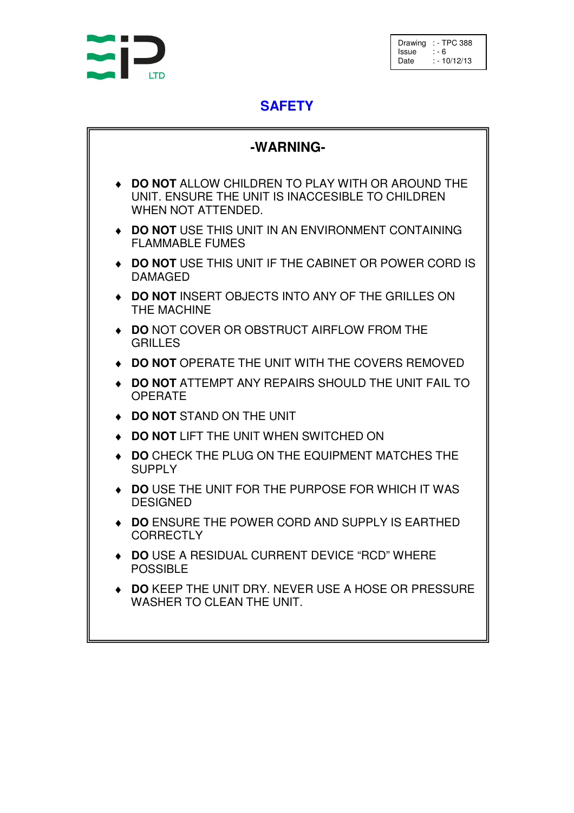

### **SAFETY**

| -WARNING-                                                                                                                         |  |  |
|-----------------------------------------------------------------------------------------------------------------------------------|--|--|
| <b>DO NOT ALLOW CHILDREN TO PLAY WITH OR AROUND THE</b><br>UNIT. ENSURE THE UNIT IS INACCESIBLE TO CHILDREN<br>WHEN NOT ATTENDED. |  |  |
| DO NOT USE THIS UNIT IN AN ENVIRONMENT CONTAINING<br>$\bullet$<br><b>FLAMMABLE FUMES</b>                                          |  |  |
| <b>DO NOT USE THIS UNIT IF THE CABINET OR POWER CORD IS</b><br><b>DAMAGED</b>                                                     |  |  |
| <b>DO NOT INSERT OBJECTS INTO ANY OF THE GRILLES ON</b><br><b>THE MACHINE</b>                                                     |  |  |
| <b>DO NOT COVER OR OBSTRUCT AIRFLOW FROM THE</b><br><b>GRILLES</b>                                                                |  |  |
| <b>DO NOT OPERATE THE UNIT WITH THE COVERS REMOVED</b>                                                                            |  |  |
| <b>DO NOT ATTEMPT ANY REPAIRS SHOULD THE UNIT FAIL TO</b><br><b>OPERATE</b>                                                       |  |  |
| <b>DO NOT STAND ON THE UNIT</b>                                                                                                   |  |  |
| <b>DO NOT LIFT THE UNIT WHEN SWITCHED ON</b>                                                                                      |  |  |
| <b>DO CHECK THE PLUG ON THE EQUIPMENT MATCHES THE</b><br><b>SUPPLY</b>                                                            |  |  |
| <b>DO USE THE UNIT FOR THE PURPOSE FOR WHICH IT WAS</b><br><b>DESIGNED</b>                                                        |  |  |
| <b>DO ENSURE THE POWER CORD AND SUPPLY IS EARTHED</b><br><b>CORRECTLY</b>                                                         |  |  |
| <b>DO USE A RESIDUAL CURRENT DEVICE "RCD" WHERE</b><br><b>POSSIBLE</b>                                                            |  |  |
| DO KEEP THE UNIT DRY. NEVER USE A HOSE OR PRESSURE<br>WASHER TO CLEAN THE UNIT.                                                   |  |  |
|                                                                                                                                   |  |  |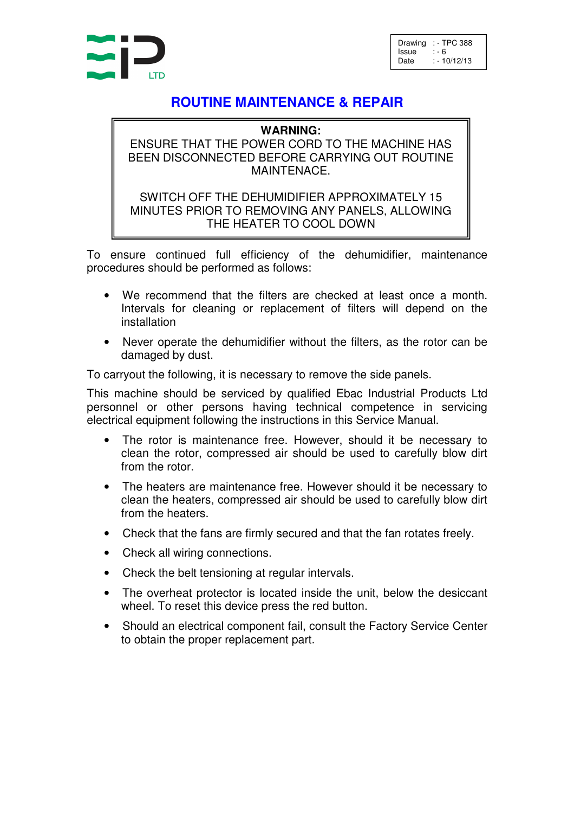### **ROUTINE MAINTENANCE & REPAIR**

#### **WARNING:**

ENSURE THAT THE POWER CORD TO THE MACHINE HAS BEEN DISCONNECTED BEFORE CARRYING OUT ROUTINE MAINTENACE.

SWITCH OFF THE DEHUMIDIFIER APPROXIMATELY 15 MINUTES PRIOR TO REMOVING ANY PANELS, ALLOWING THE HEATER TO COOL DOWN

To ensure continued full efficiency of the dehumidifier, maintenance procedures should be performed as follows:

- We recommend that the filters are checked at least once a month. Intervals for cleaning or replacement of filters will depend on the installation
- Never operate the dehumidifier without the filters, as the rotor can be damaged by dust.

To carryout the following, it is necessary to remove the side panels.

This machine should be serviced by qualified Ebac Industrial Products Ltd personnel or other persons having technical competence in servicing electrical equipment following the instructions in this Service Manual.

- The rotor is maintenance free. However, should it be necessary to clean the rotor, compressed air should be used to carefully blow dirt from the rotor.
- The heaters are maintenance free. However should it be necessary to clean the heaters, compressed air should be used to carefully blow dirt from the heaters.
- Check that the fans are firmly secured and that the fan rotates freely.
- Check all wiring connections.
- Check the belt tensioning at regular intervals.
- The overheat protector is located inside the unit, below the desiccant wheel. To reset this device press the red button.
- Should an electrical component fail, consult the Factory Service Center to obtain the proper replacement part.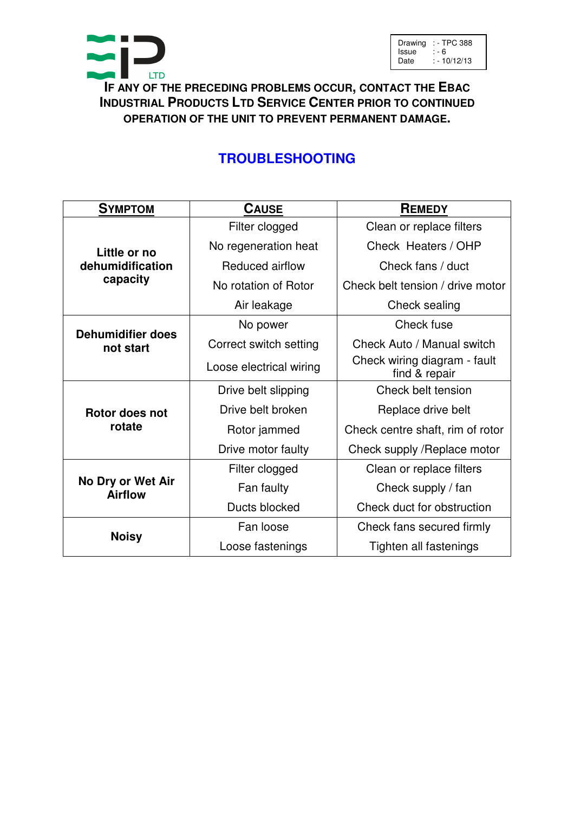

**LTD IF ANY OF THE PRECEDING PROBLEMS OCCUR, CONTACT THE EBAC INDUSTRIAL PRODUCTS LTD SERVICE CENTER PRIOR TO CONTINUED OPERATION OF THE UNIT TO PREVENT PERMANENT DAMAGE.** 

### **TROUBLESHOOTING**

| <b>SYMPTOM</b>                               | <b>CAUSE</b>            | <b>REMEDY</b>                                 |
|----------------------------------------------|-------------------------|-----------------------------------------------|
| Little or no<br>dehumidification<br>capacity | Filter clogged          | Clean or replace filters                      |
|                                              | No regeneration heat    | Check Heaters / OHP                           |
|                                              | Reduced airflow         | Check fans / duct                             |
|                                              | No rotation of Rotor    | Check belt tension / drive motor              |
|                                              | Air leakage             | Check sealing                                 |
| Dehumidifier does<br>not start               | No power                | Check fuse                                    |
|                                              | Correct switch setting  | Check Auto / Manual switch                    |
|                                              | Loose electrical wiring | Check wiring diagram - fault<br>find & repair |
|                                              | Drive belt slipping     | Check belt tension                            |
| Rotor does not                               | Drive belt broken       | Replace drive belt                            |
| rotate                                       | Rotor jammed            | Check centre shaft, rim of rotor              |
|                                              | Drive motor faulty      | Check supply / Replace motor                  |
| <b>No Dry or Wet Air</b><br><b>Airflow</b>   | Filter clogged          | Clean or replace filters                      |
|                                              | Fan faulty              | Check supply / fan                            |
|                                              | Ducts blocked           | Check duct for obstruction                    |
| <b>Noisy</b>                                 | Fan loose               | Check fans secured firmly                     |
|                                              | Loose fastenings        | Tighten all fastenings                        |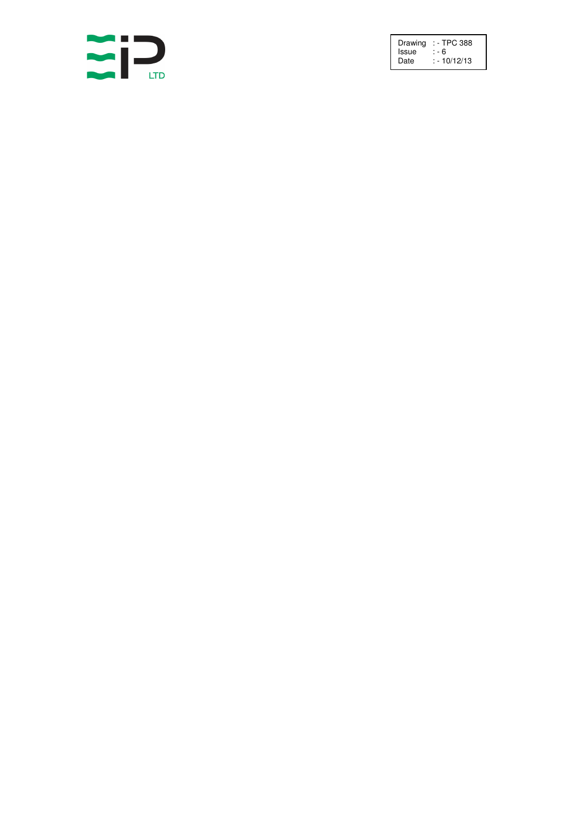

Drawing : - TPC 388 Issue : - 6 Date : - 10/12/13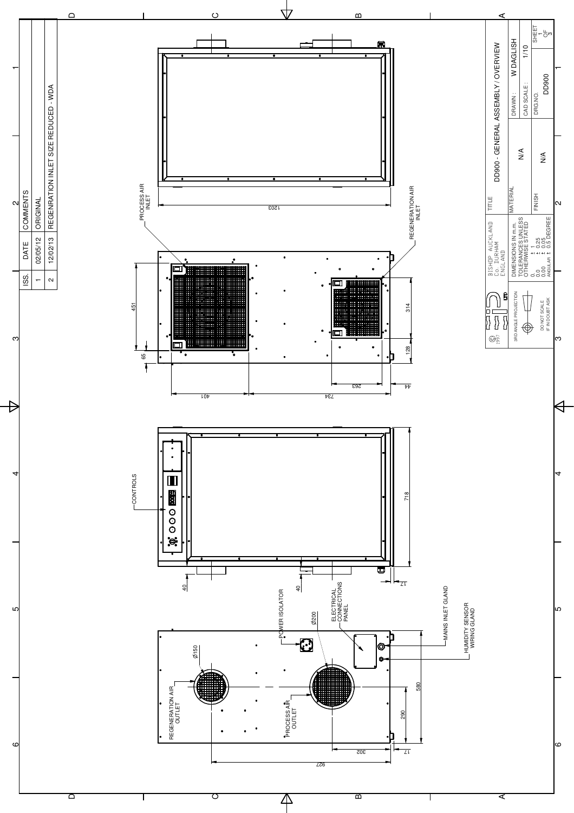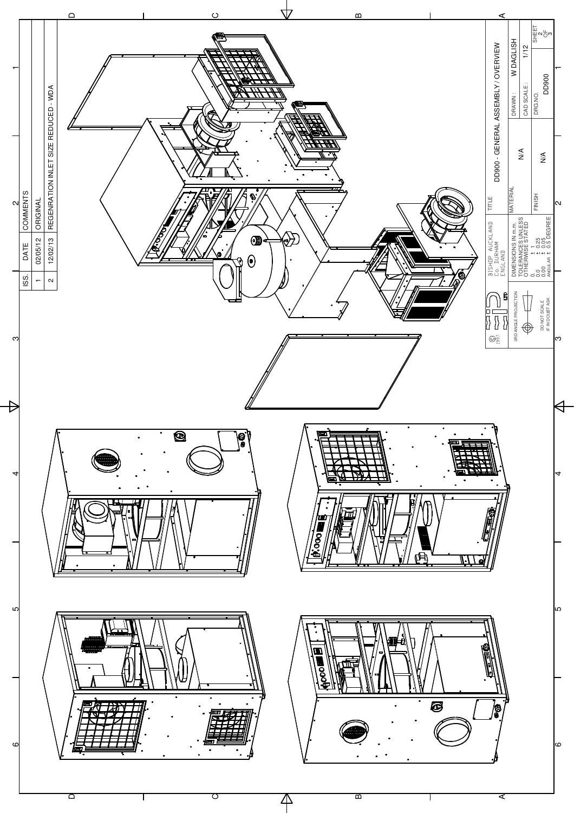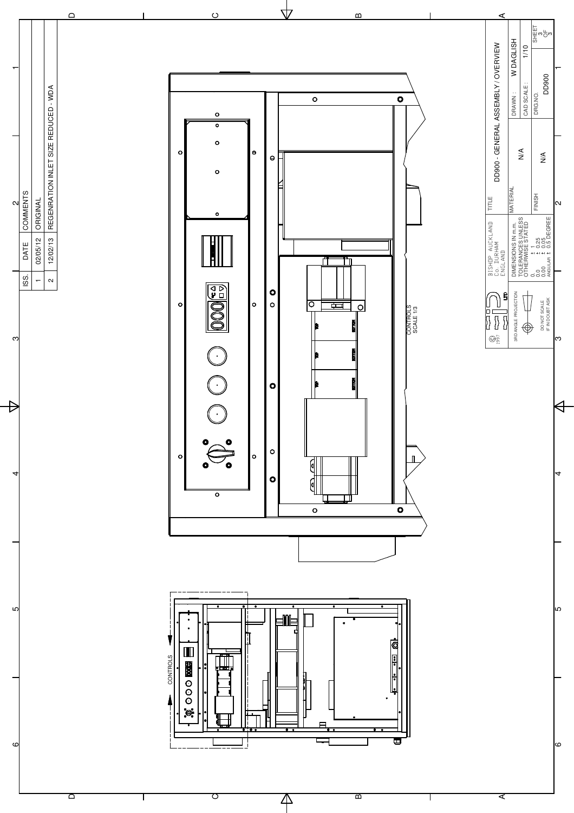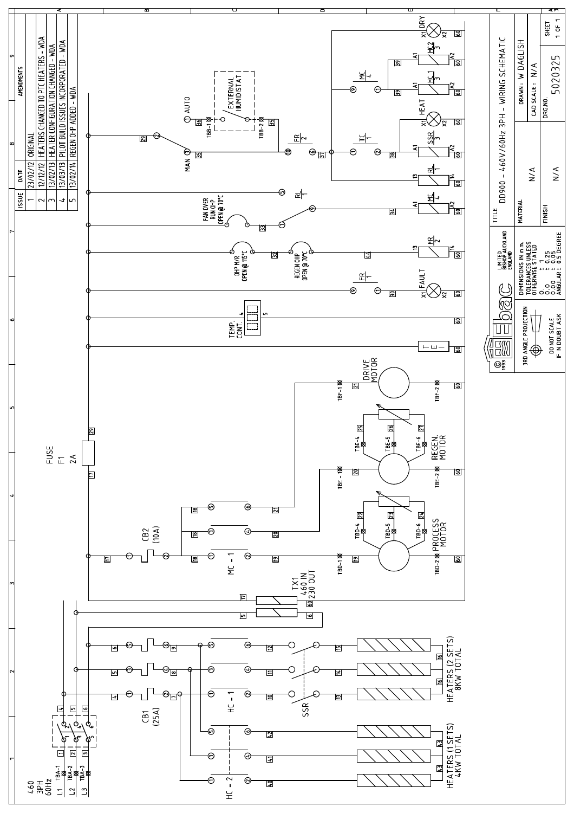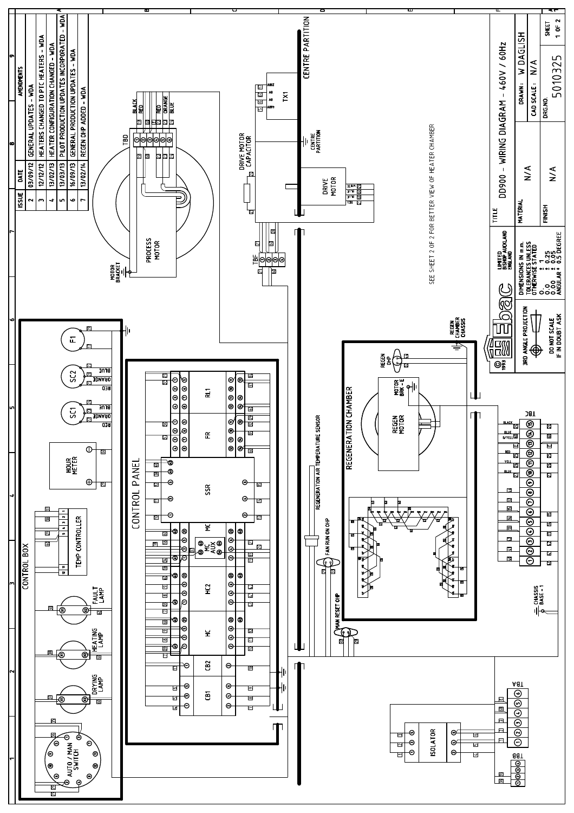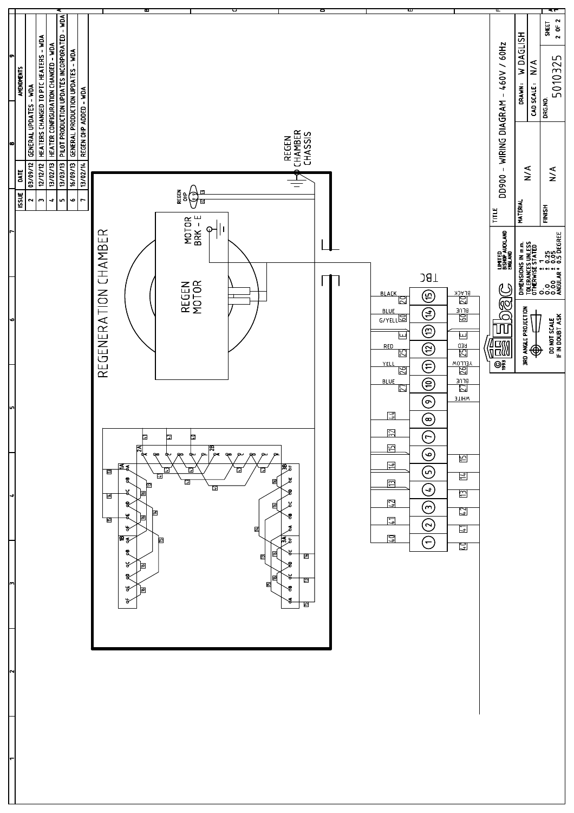